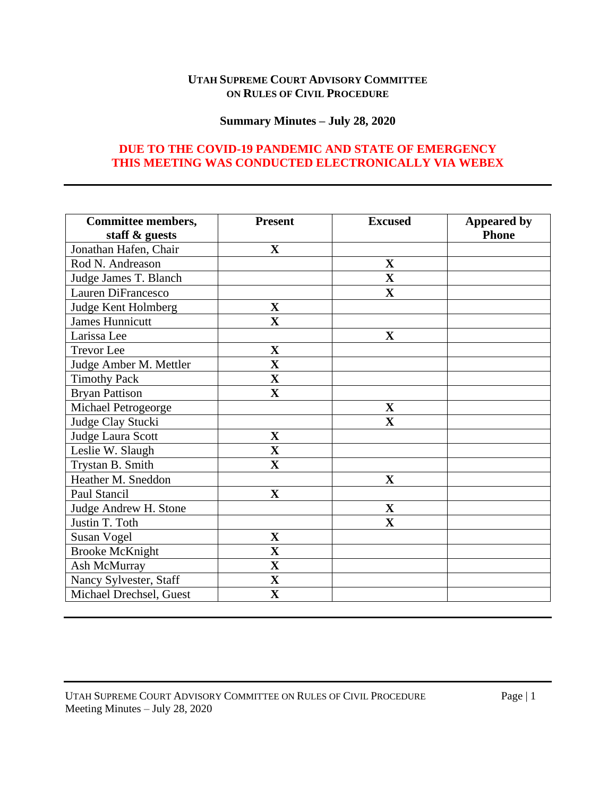# **UTAH SUPREME COURT ADVISORY COMMITTEE ON RULES OF CIVIL PROCEDURE**

## **Summary Minutes – July 28, 2020**

# **DUE TO THE COVID-19 PANDEMIC AND STATE OF EMERGENCY THIS MEETING WAS CONDUCTED ELECTRONICALLY VIA WEBEX**

| <b>Committee members,</b> | <b>Present</b>          | <b>Excused</b>          | <b>Appeared by</b> |
|---------------------------|-------------------------|-------------------------|--------------------|
| staff & guests            |                         |                         | <b>Phone</b>       |
| Jonathan Hafen, Chair     | $\mathbf X$             |                         |                    |
| Rod N. Andreason          |                         | $\overline{\mathbf{X}}$ |                    |
| Judge James T. Blanch     |                         | $\mathbf X$             |                    |
| <b>Lauren DiFrancesco</b> |                         | $\mathbf X$             |                    |
| Judge Kent Holmberg       | $\mathbf X$             |                         |                    |
| <b>James Hunnicutt</b>    | $\overline{\mathbf{X}}$ |                         |                    |
| Larissa Lee               |                         | $\mathbf X$             |                    |
| <b>Trevor</b> Lee         | $\mathbf X$             |                         |                    |
| Judge Amber M. Mettler    | $\mathbf X$             |                         |                    |
| <b>Timothy Pack</b>       | $\overline{\mathbf{X}}$ |                         |                    |
| <b>Bryan Pattison</b>     | $\mathbf X$             |                         |                    |
| Michael Petrogeorge       |                         | $\mathbf X$             |                    |
| Judge Clay Stucki         |                         | $\mathbf X$             |                    |
| Judge Laura Scott         | $\mathbf X$             |                         |                    |
| Leslie W. Slaugh          | $\mathbf X$             |                         |                    |
| Trystan B. Smith          | $\mathbf X$             |                         |                    |
| Heather M. Sneddon        |                         | $\mathbf X$             |                    |
| Paul Stancil              | $\mathbf X$             |                         |                    |
| Judge Andrew H. Stone     |                         | $\mathbf X$             |                    |
| Justin T. Toth            |                         | $\mathbf X$             |                    |
| <b>Susan Vogel</b>        | $\overline{\mathbf{X}}$ |                         |                    |
| <b>Brooke McKnight</b>    | $\overline{\mathbf{X}}$ |                         |                    |
| Ash McMurray              | $\mathbf X$             |                         |                    |
| Nancy Sylvester, Staff    | $\mathbf X$             |                         |                    |
| Michael Drechsel, Guest   | $\overline{\mathbf{X}}$ |                         |                    |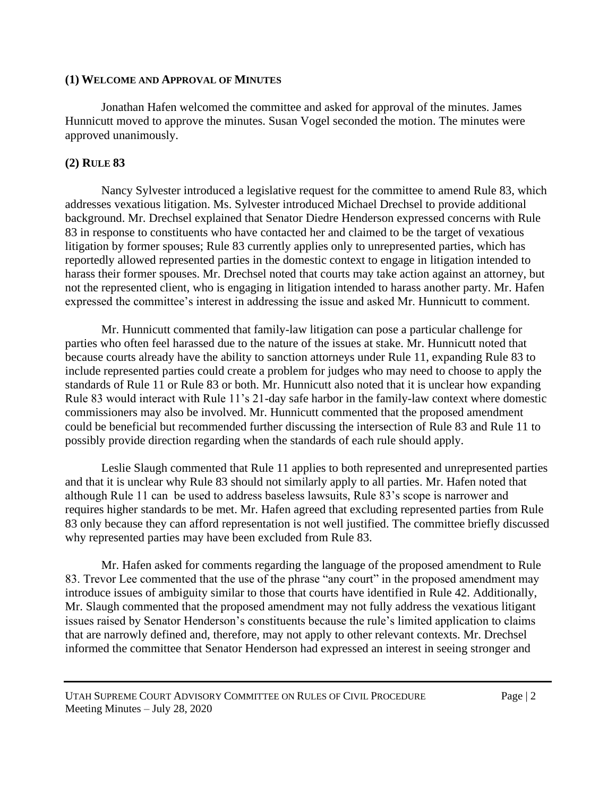#### **(1) WELCOME AND APPROVAL OF MINUTES**

Jonathan Hafen welcomed the committee and asked for approval of the minutes. James Hunnicutt moved to approve the minutes. Susan Vogel seconded the motion. The minutes were approved unanimously.

## **(2) RULE 83**

Nancy Sylvester introduced a legislative request for the committee to amend Rule 83, which addresses vexatious litigation. Ms. Sylvester introduced Michael Drechsel to provide additional background. Mr. Drechsel explained that Senator Diedre Henderson expressed concerns with Rule 83 in response to constituents who have contacted her and claimed to be the target of vexatious litigation by former spouses; Rule 83 currently applies only to unrepresented parties, which has reportedly allowed represented parties in the domestic context to engage in litigation intended to harass their former spouses. Mr. Drechsel noted that courts may take action against an attorney, but not the represented client, who is engaging in litigation intended to harass another party. Mr. Hafen expressed the committee's interest in addressing the issue and asked Mr. Hunnicutt to comment.

Mr. Hunnicutt commented that family-law litigation can pose a particular challenge for parties who often feel harassed due to the nature of the issues at stake. Mr. Hunnicutt noted that because courts already have the ability to sanction attorneys under Rule 11, expanding Rule 83 to include represented parties could create a problem for judges who may need to choose to apply the standards of Rule 11 or Rule 83 or both. Mr. Hunnicutt also noted that it is unclear how expanding Rule 83 would interact with Rule 11's 21-day safe harbor in the family-law context where domestic commissioners may also be involved. Mr. Hunnicutt commented that the proposed amendment could be beneficial but recommended further discussing the intersection of Rule 83 and Rule 11 to possibly provide direction regarding when the standards of each rule should apply.

Leslie Slaugh commented that Rule 11 applies to both represented and unrepresented parties and that it is unclear why Rule 83 should not similarly apply to all parties. Mr. Hafen noted that although Rule 11 can be used to address baseless lawsuits, Rule 83's scope is narrower and requires higher standards to be met. Mr. Hafen agreed that excluding represented parties from Rule 83 only because they can afford representation is not well justified. The committee briefly discussed why represented parties may have been excluded from Rule 83.

Mr. Hafen asked for comments regarding the language of the proposed amendment to Rule 83. Trevor Lee commented that the use of the phrase "any court" in the proposed amendment may introduce issues of ambiguity similar to those that courts have identified in Rule 42. Additionally, Mr. Slaugh commented that the proposed amendment may not fully address the vexatious litigant issues raised by Senator Henderson's constituents because the rule's limited application to claims that are narrowly defined and, therefore, may not apply to other relevant contexts. Mr. Drechsel informed the committee that Senator Henderson had expressed an interest in seeing stronger and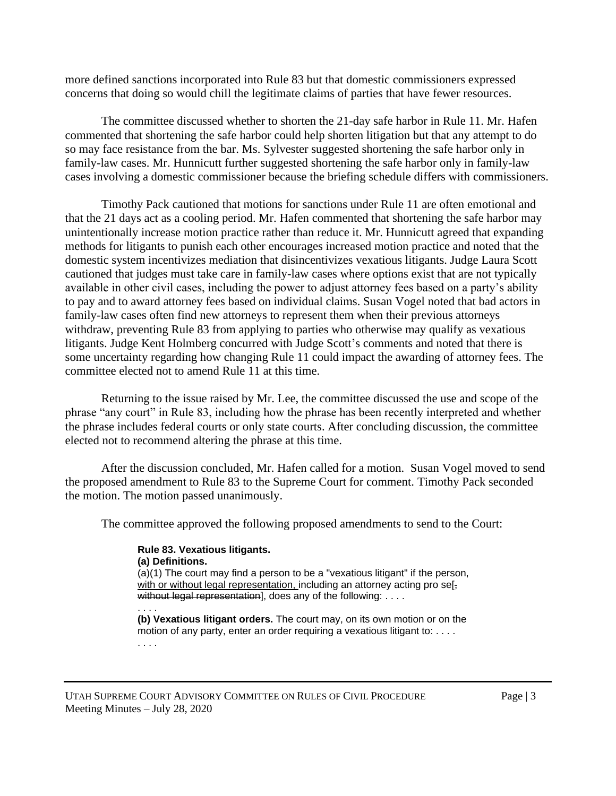more defined sanctions incorporated into Rule 83 but that domestic commissioners expressed concerns that doing so would chill the legitimate claims of parties that have fewer resources.

The committee discussed whether to shorten the 21-day safe harbor in Rule 11. Mr. Hafen commented that shortening the safe harbor could help shorten litigation but that any attempt to do so may face resistance from the bar. Ms. Sylvester suggested shortening the safe harbor only in family-law cases. Mr. Hunnicutt further suggested shortening the safe harbor only in family-law cases involving a domestic commissioner because the briefing schedule differs with commissioners.

Timothy Pack cautioned that motions for sanctions under Rule 11 are often emotional and that the 21 days act as a cooling period. Mr. Hafen commented that shortening the safe harbor may unintentionally increase motion practice rather than reduce it. Mr. Hunnicutt agreed that expanding methods for litigants to punish each other encourages increased motion practice and noted that the domestic system incentivizes mediation that disincentivizes vexatious litigants. Judge Laura Scott cautioned that judges must take care in family-law cases where options exist that are not typically available in other civil cases, including the power to adjust attorney fees based on a party's ability to pay and to award attorney fees based on individual claims. Susan Vogel noted that bad actors in family-law cases often find new attorneys to represent them when their previous attorneys withdraw, preventing Rule 83 from applying to parties who otherwise may qualify as vexatious litigants. Judge Kent Holmberg concurred with Judge Scott's comments and noted that there is some uncertainty regarding how changing Rule 11 could impact the awarding of attorney fees. The committee elected not to amend Rule 11 at this time.

Returning to the issue raised by Mr. Lee, the committee discussed the use and scope of the phrase "any court" in Rule 83, including how the phrase has been recently interpreted and whether the phrase includes federal courts or only state courts. After concluding discussion, the committee elected not to recommend altering the phrase at this time.

After the discussion concluded, Mr. Hafen called for a motion. Susan Vogel moved to send the proposed amendment to Rule 83 to the Supreme Court for comment. Timothy Pack seconded the motion. The motion passed unanimously.

The committee approved the following proposed amendments to send to the Court:

**Rule 83. Vexatious litigants. (a) Definitions.** (a)(1) The court may find a person to be a "vexatious litigant" if the person, with or without legal representation, including an attorney acting pro se[without legal representation], does any of the following: . . . . . . . . **(b) Vexatious litigant orders.** The court may, on its own motion or on the

motion of any party, enter an order requiring a vexatious litigant to: . . . . . . . .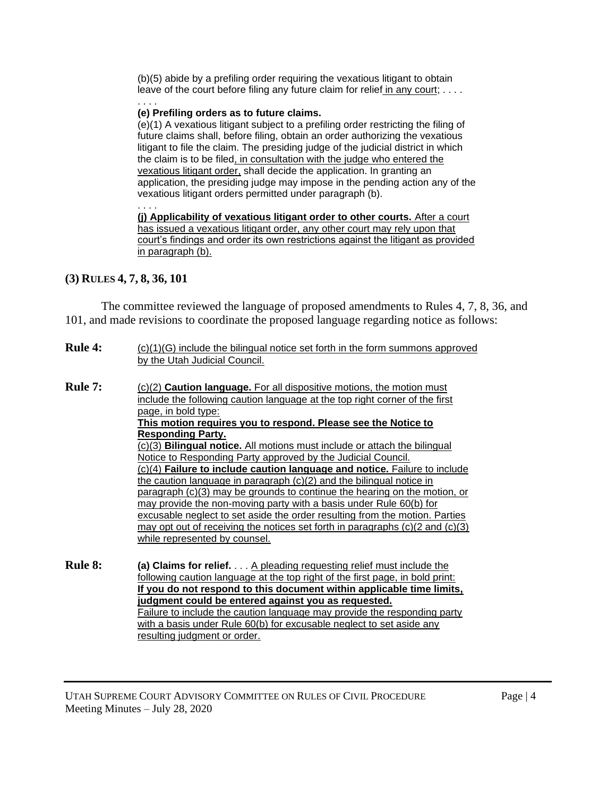(b)(5) abide by a prefiling order requiring the vexatious litigant to obtain leave of the court before filing any future claim for relief in any court; . . . . . . . .

#### **(e) Prefiling orders as to future claims.**

(e)(1) A vexatious litigant subject to a prefiling order restricting the filing of future claims shall, before filing, obtain an order authorizing the vexatious litigant to file the claim. The presiding judge of the judicial district in which the claim is to be filed, in consultation with the judge who entered the vexatious litigant order, shall decide the application. In granting an application, the presiding judge may impose in the pending action any of the vexatious litigant orders permitted under paragraph (b). . . . .

**(j) Applicability of vexatious litigant order to other courts.** After a court has issued a vexatious litigant order, any other court may rely upon that court's findings and order its own restrictions against the litigant as provided in paragraph (b).

### **(3) RULES 4, 7, 8, 36, 101**

The committee reviewed the language of proposed amendments to Rules 4, 7, 8, 36, and 101, and made revisions to coordinate the proposed language regarding notice as follows:

| <b>Rule 4:</b> | $(c)(1)(G)$ include the bilingual notice set forth in the form summons approved<br>by the Utah Judicial Council.                                            |  |  |  |
|----------------|-------------------------------------------------------------------------------------------------------------------------------------------------------------|--|--|--|
| <b>Rule 7:</b> | (c)(2) <b>Caution language.</b> For all dispositive motions, the motion must<br>include the following caution language at the top right corner of the first |  |  |  |
|                | page, in bold type:<br>This motion requires you to respond. Please see the Notice to                                                                        |  |  |  |
|                | <b>Responding Party.</b>                                                                                                                                    |  |  |  |
|                | (c)(3) <b>Bilingual notice.</b> All motions must include or attach the bilingual                                                                            |  |  |  |
|                | Notice to Responding Party approved by the Judicial Council.                                                                                                |  |  |  |
|                | (c)(4) Failure to include caution language and notice. Failure to include                                                                                   |  |  |  |
|                | the caution language in paragraph $(c)(2)$ and the bilingual notice in                                                                                      |  |  |  |
|                | paragraph (c)(3) may be grounds to continue the hearing on the motion, or                                                                                   |  |  |  |
|                | may provide the non-moving party with a basis under Rule 60(b) for                                                                                          |  |  |  |
|                | excusable neglect to set aside the order resulting from the motion. Parties                                                                                 |  |  |  |
|                | may opt out of receiving the notices set forth in paragraphs $(c)(2 \text{ and } (c)(3))$                                                                   |  |  |  |
|                | while represented by counsel.                                                                                                                               |  |  |  |
| <b>Rule 8:</b> | (a) Claims for relief. A pleading requesting relief must include the                                                                                        |  |  |  |
|                | following caution language at the top right of the first page, in bold print:                                                                               |  |  |  |
|                | If you do not respond to this document within applicable time limits,                                                                                       |  |  |  |
|                | judgment could be entered against you as requested.                                                                                                         |  |  |  |
|                | Eailure to include the caution language may provide the responding party                                                                                    |  |  |  |

Failure to include the caution language may provide the responding party with a basis under Rule 60(b) for excusable neglect to set aside any resulting judgment or order.

UTAH SUPREME COURT ADVISORY COMMITTEE ON RULES OF CIVIL PROCEDURE Page | 4 Meeting Minutes – July 28, 2020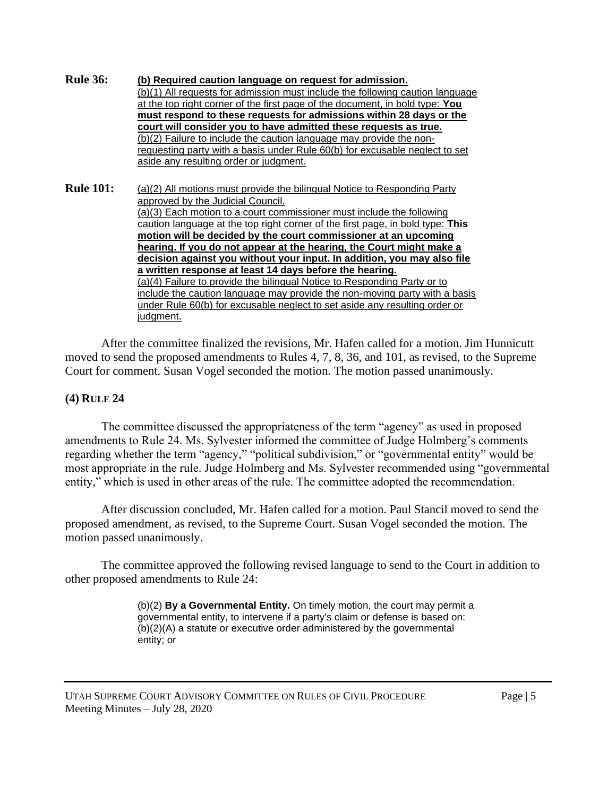**Rule 36: (b) Required caution language on request for admission.** (b)(1) All requests for admission must include the following caution language at the top right corner of the first page of the document, in bold type: **You must respond to these requests for admissions within 28 days or the court will consider you to have admitted these requests as true.** (b)(2) Failure to include the caution language may provide the nonrequesting party with a basis under Rule 60(b) for excusable neglect to set aside any resulting order or judgment. **Rule 101:** (a)(2) All motions must provide the bilingual Notice to Responding Party approved by the Judicial Council. (a)(3) Each motion to a court commissioner must include the following caution language at the top right corner of the first page, in bold type: **This motion will be decided by the court commissioner at an upcoming** 

> **hearing. If you do not appear at the hearing, the Court might make a decision against you without your input. In addition, you may also file a written response at least 14 days before the hearing.** (a)(4) Failure to provide the bilingual Notice to Responding Party or to include the caution language may provide the non-moving party with a basis under Rule 60(b) for excusable neglect to set aside any resulting order or judgment.

After the committee finalized the revisions, Mr. Hafen called for a motion. Jim Hunnicutt moved to send the proposed amendments to Rules 4, 7, 8, 36, and 101, as revised, to the Supreme Court for comment. Susan Vogel seconded the motion. The motion passed unanimously.

# **(4) RULE 24**

The committee discussed the appropriateness of the term "agency" as used in proposed amendments to Rule 24. Ms. Sylvester informed the committee of Judge Holmberg's comments regarding whether the term "agency," "political subdivision," or "governmental entity" would be most appropriate in the rule. Judge Holmberg and Ms. Sylvester recommended using "governmental entity," which is used in other areas of the rule. The committee adopted the recommendation.

After discussion concluded, Mr. Hafen called for a motion. Paul Stancil moved to send the proposed amendment, as revised, to the Supreme Court. Susan Vogel seconded the motion. The motion passed unanimously.

The committee approved the following revised language to send to the Court in addition to other proposed amendments to Rule 24:

> (b)(2) **By a Governmental Entity.** On timely motion, the court may permit a governmental entity, to intervene if a party's claim or defense is based on: (b)(2)(A) a statute or executive order administered by the governmental entity; or

UTAH SUPREME COURT ADVISORY COMMITTEE ON RULES OF CIVIL PROCEDURE Page | 5 Meeting Minutes – July 28, 2020